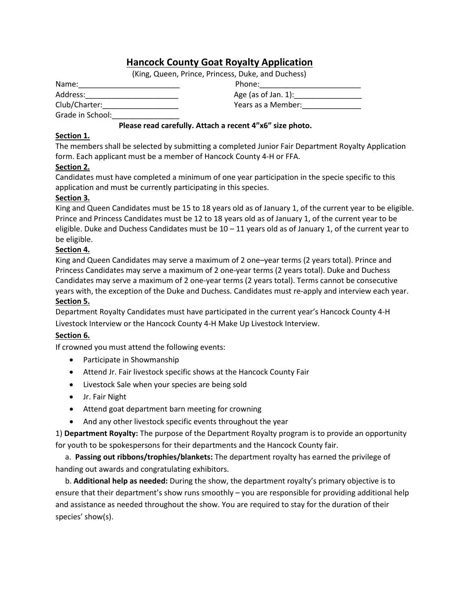# **Hancock County Goat Royalty Application**

(King, Queen, Prince, Princess, Duke, and Duchess)

| Name:                            | Phone:                 |
|----------------------------------|------------------------|
| Address:                         | Age (as of Jan. $1$ ): |
| $C1$ , $C2$ , $C3$ , $C4$ , $C5$ | Maana aa a Adamahan.   |

Club/Charter: Grade in School:\_\_\_\_\_\_\_\_\_\_\_\_\_\_\_\_

### **Please read carefully. Attach a recent 4"x6" size photo.**

#### **Section 1.**

The members shall be selected by submitting a completed Junior Fair Department Royalty Application form. Each applicant must be a member of Hancock County 4-H or FFA.

### **Section 2.**

Candidates must have completed a minimum of one year participation in the specie specific to this application and must be currently participating in this species.

### **Section 3.**

King and Queen Candidates must be 15 to 18 years old as of January 1, of the current year to be eligible. Prince and Princess Candidates must be 12 to 18 years old as of January 1, of the current year to be eligible. Duke and Duchess Candidates must be  $10 - 11$  years old as of January 1, of the current year to be eligible.

#### **Section 4.**

King and Queen Candidates may serve a maximum of 2 one–year terms (2 years total). Prince and Princess Candidates may serve a maximum of 2 one-year terms (2 years total). Duke and Duchess Candidates may serve a maximum of 2 one-year terms (2 years total). Terms cannot be consecutive years with, the exception of the Duke and Duchess. Candidates must re-apply and interview each year. **Section 5.**

Department Royalty Candidates must have participated in the current year's Hancock County 4-H Livestock Interview or the Hancock County 4-H Make Up Livestock Interview.

### **Section 6.**

If crowned you must attend the following events:

- Participate in Showmanship
- Attend Jr. Fair livestock specific shows at the Hancock County Fair
- Livestock Sale when your species are being sold
- Jr. Fair Night
- Attend goat department barn meeting for crowning
- And any other livestock specific events throughout the year

1) **Department Royalty:** The purpose of the Department Royalty program is to provide an opportunity for youth to be spokespersons for their departments and the Hancock County fair.

 a. **Passing out ribbons/trophies/blankets:** The department royalty has earned the privilege of handing out awards and congratulating exhibitors.

 b. **Additional help as needed:** During the show, the department royalty's primary objective is to ensure that their department's show runs smoothly – you are responsible for providing additional help and assistance as needed throughout the show. You are required to stay for the duration of their species' show(s).

| Address:      | Age (as of Jan. 1): |
|---------------|---------------------|
| Club/Charter: | Years as a Member:  |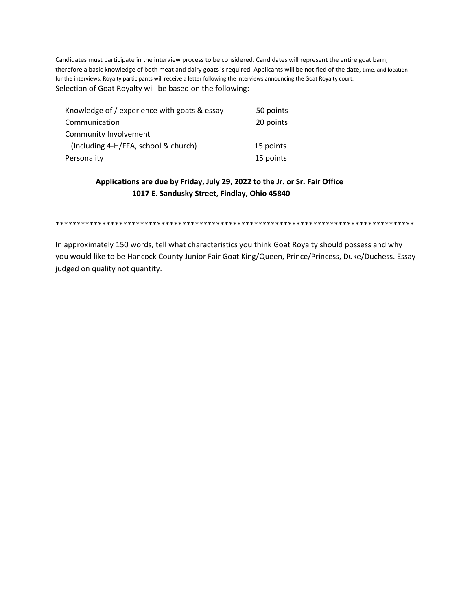Candidates must participate in the interview process to be considered. Candidates will represent the entire goat barn; therefore a basic knowledge of both meat and dairy goats is required. Applicants will be notified of the date, time, and location for the interviews. Royalty participants will receive a letter following the interviews announcing the Goat Royalty court. Selection of Goat Royalty will be based on the following:

| Knowledge of / experience with goats & essay | 50 points |
|----------------------------------------------|-----------|
| Communication                                | 20 points |
| Community Involvement                        |           |
| (Including 4-H/FFA, school & church)         | 15 points |
| Personality                                  | 15 points |

## **Applications are due by Friday, July 29, 2022 to the Jr. or Sr. Fair Office 1017 E. Sandusky Street, Findlay, Ohio 45840**

\*\*\*\*\*\*\*\*\*\*\*\*\*\*\*\*\*\*\*\*\*\*\*\*\*\*\*\*\*\*\*\*\*\*\*\*\*\*\*\*\*\*\*\*\*\*\*\*\*\*\*\*\*\*\*\*\*\*\*\*\*\*\*\*\*\*\*\*\*\*\*\*\*\*\*\*\*\*\*\*\*\*\*\*\*

In approximately 150 words, tell what characteristics you think Goat Royalty should possess and why you would like to be Hancock County Junior Fair Goat King/Queen, Prince/Princess, Duke/Duchess. Essay judged on quality not quantity.